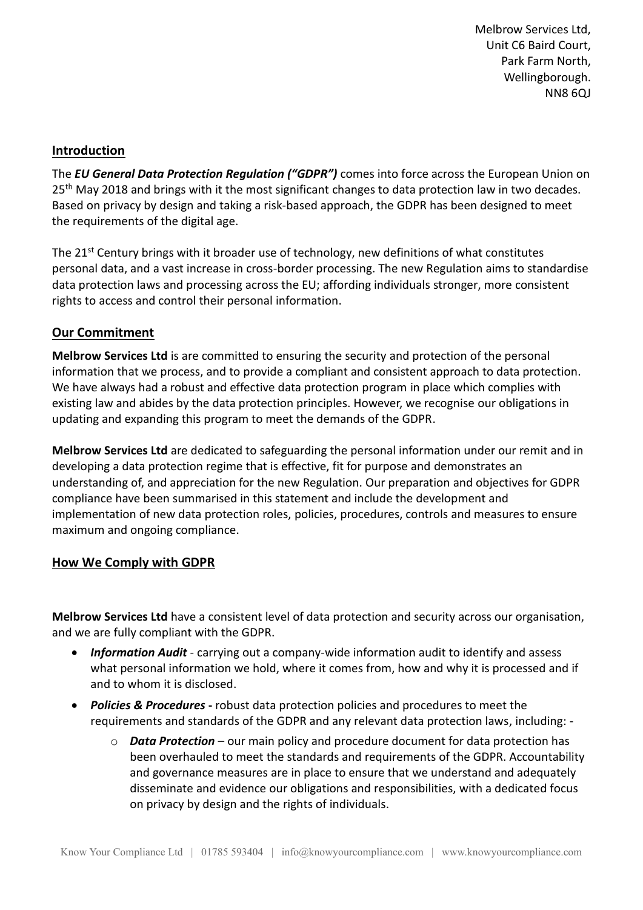Melbrow Services Ltd, Unit C6 Baird Court, Park Farm North, Wellingborough. NN8 6QJ

#### **Introduction**

The *EU General Data Protection Regulation ("GDPR")* comes into force across the European Union on 25<sup>th</sup> May 2018 and brings with it the most significant changes to data protection law in two decades. Based on privacy by design and taking a risk-based approach, the GDPR has been designed to meet the requirements of the digital age.

The 21<sup>st</sup> Century brings with it broader use of technology, new definitions of what constitutes personal data, and a vast increase in cross-border processing. The new Regulation aims to standardise data protection laws and processing across the EU; affording individuals stronger, more consistent rights to access and control their personal information.

## **Our Commitment**

**Melbrow Services Ltd** is are committed to ensuring the security and protection of the personal information that we process, and to provide a compliant and consistent approach to data protection. We have always had a robust and effective data protection program in place which complies with existing law and abides by the data protection principles. However, we recognise our obligations in updating and expanding this program to meet the demands of the GDPR.

**Melbrow Services Ltd** are dedicated to safeguarding the personal information under our remit and in developing a data protection regime that is effective, fit for purpose and demonstrates an understanding of, and appreciation for the new Regulation. Our preparation and objectives for GDPR compliance have been summarised in this statement and include the development and implementation of new data protection roles, policies, procedures, controls and measures to ensure maximum and ongoing compliance.

## **How We Comply with GDPR**

**Melbrow Services Ltd** have a consistent level of data protection and security across our organisation, and we are fully compliant with the GDPR.

- *Information Audit* carrying out a company-wide information audit to identify and assess what personal information we hold, where it comes from, how and why it is processed and if and to whom it is disclosed.
- *Policies & Procedures* **-** robust data protection policies and procedures to meet the requirements and standards of the GDPR and any relevant data protection laws, including:
	- o *Data Protection* our main policy and procedure document for data protection has been overhauled to meet the standards and requirements of the GDPR. Accountability and governance measures are in place to ensure that we understand and adequately disseminate and evidence our obligations and responsibilities, with a dedicated focus on privacy by design and the rights of individuals.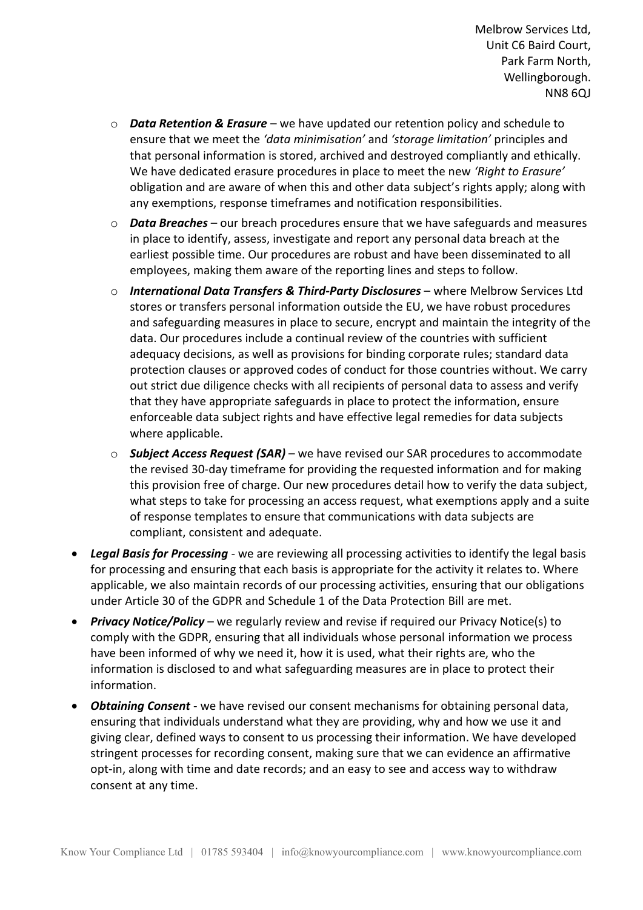- o *Data Retention & Erasure* we have updated our retention policy and schedule to ensure that we meet the *'data minimisation'* and *'storage limitation'* principles and that personal information is stored, archived and destroyed compliantly and ethically. We have dedicated erasure procedures in place to meet the new *'Right to Erasure'* obligation and are aware of when this and other data subject's rights apply; along with any exemptions, response timeframes and notification responsibilities.
- o *Data Breaches* our breach procedures ensure that we have safeguards and measures in place to identify, assess, investigate and report any personal data breach at the earliest possible time. Our procedures are robust and have been disseminated to all employees, making them aware of the reporting lines and steps to follow.
- o *International Data Transfers & Third-Party Disclosures* where Melbrow Services Ltd stores or transfers personal information outside the EU, we have robust procedures and safeguarding measures in place to secure, encrypt and maintain the integrity of the data. Our procedures include a continual review of the countries with sufficient adequacy decisions, as well as provisions for binding corporate rules; standard data protection clauses or approved codes of conduct for those countries without. We carry out strict due diligence checks with all recipients of personal data to assess and verify that they have appropriate safeguards in place to protect the information, ensure enforceable data subject rights and have effective legal remedies for data subjects where applicable.
- o *Subject Access Request (SAR)* we have revised our SAR procedures to accommodate the revised 30-day timeframe for providing the requested information and for making this provision free of charge. Our new procedures detail how to verify the data subject, what steps to take for processing an access request, what exemptions apply and a suite of response templates to ensure that communications with data subjects are compliant, consistent and adequate.
- *Legal Basis for Processing* we are reviewing all processing activities to identify the legal basis for processing and ensuring that each basis is appropriate for the activity it relates to. Where applicable, we also maintain records of our processing activities, ensuring that our obligations under Article 30 of the GDPR and Schedule 1 of the Data Protection Bill are met.
- *Privacy Notice/Policy* we regularly review and revise if required our Privacy Notice(s) to comply with the GDPR, ensuring that all individuals whose personal information we process have been informed of why we need it, how it is used, what their rights are, who the information is disclosed to and what safeguarding measures are in place to protect their information.
- *Obtaining Consent* we have revised our consent mechanisms for obtaining personal data, ensuring that individuals understand what they are providing, why and how we use it and giving clear, defined ways to consent to us processing their information. We have developed stringent processes for recording consent, making sure that we can evidence an affirmative opt-in, along with time and date records; and an easy to see and access way to withdraw consent at any time.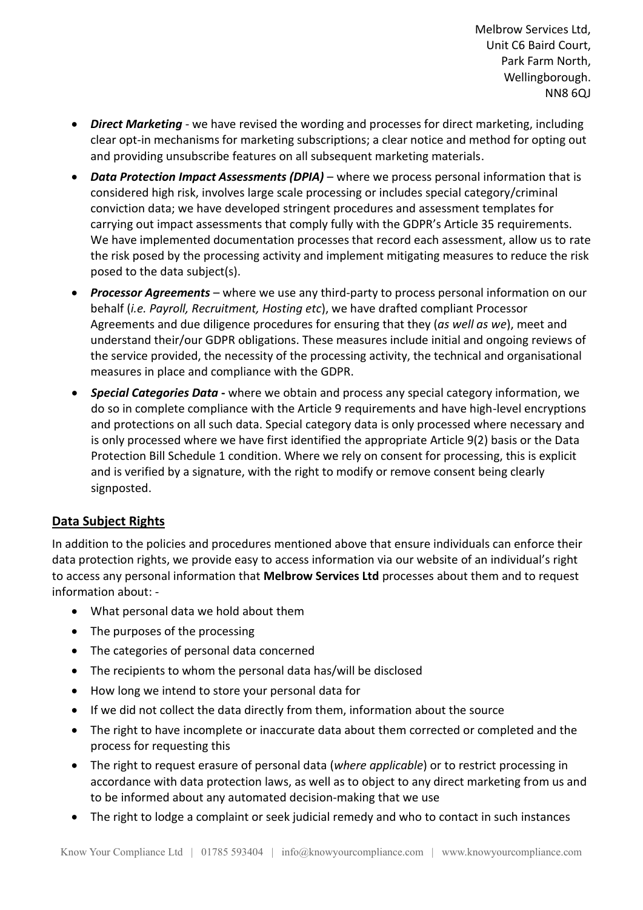Melbrow Services Ltd, Unit C6 Baird Court, Park Farm North, Wellingborough. NN8 6QJ

- *Direct Marketing* we have revised the wording and processes for direct marketing, including clear opt-in mechanisms for marketing subscriptions; a clear notice and method for opting out and providing unsubscribe features on all subsequent marketing materials.
- *Data Protection Impact Assessments (DPIA)* where we process personal information that is considered high risk, involves large scale processing or includes special category/criminal conviction data; we have developed stringent procedures and assessment templates for carrying out impact assessments that comply fully with the GDPR's Article 35 requirements. We have implemented documentation processes that record each assessment, allow us to rate the risk posed by the processing activity and implement mitigating measures to reduce the risk posed to the data subject(s).
- *Processor Agreements* where we use any third-party to process personal information on our behalf (*i.e. Payroll, Recruitment, Hosting etc*), we have drafted compliant Processor Agreements and due diligence procedures for ensuring that they (*as well as we*), meet and understand their/our GDPR obligations. These measures include initial and ongoing reviews of the service provided, the necessity of the processing activity, the technical and organisational measures in place and compliance with the GDPR.
- *Special Categories Data* **-** where we obtain and process any special category information, we do so in complete compliance with the Article 9 requirements and have high-level encryptions and protections on all such data. Special category data is only processed where necessary and is only processed where we have first identified the appropriate Article 9(2) basis or the Data Protection Bill Schedule 1 condition. Where we rely on consent for processing, this is explicit and is verified by a signature, with the right to modify or remove consent being clearly signposted.

# **Data Subject Rights**

In addition to the policies and procedures mentioned above that ensure individuals can enforce their data protection rights, we provide easy to access information via our website of an individual's right to access any personal information that **Melbrow Services Ltd** processes about them and to request information about: -

- What personal data we hold about them
- The purposes of the processing
- The categories of personal data concerned
- The recipients to whom the personal data has/will be disclosed
- How long we intend to store your personal data for
- If we did not collect the data directly from them, information about the source
- The right to have incomplete or inaccurate data about them corrected or completed and the process for requesting this
- The right to request erasure of personal data (*where applicable*) or to restrict processing in accordance with data protection laws, as well as to object to any direct marketing from us and to be informed about any automated decision-making that we use
- The right to lodge a complaint or seek judicial remedy and who to contact in such instances